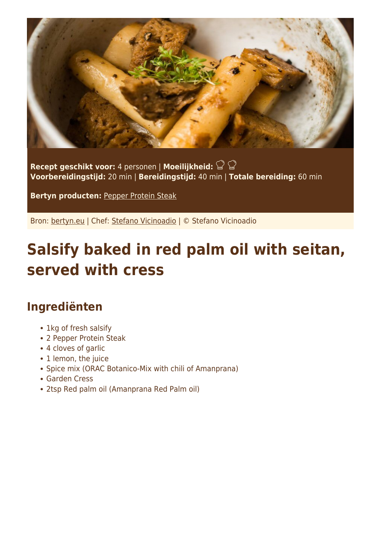

**Recept geschikt voor:** 4 personen | **Moeilijkheid: Voorbereidingstijd:** 20 min | **Bereidingstijd:** 40 min | **Totale bereiding:** 60 min

**Bertyn producten:** [Pepper Protein Steak](https://www.bertyn.eu/en/product/pepper-protein-steak/)

Bron: [bertyn.eu](https://www.bertyn.eu/en/recipe/red-palm-oil-seitan-salsify/) | Chef: [Stefano Vicinoadio](https://www.bertyn.eu/en/author/) | © Stefano Vicinoadio

## **Salsify baked in red palm oil with seitan, served with cress**

## **Ingrediënten**

- 1kg of fresh salsify
- 2 Pepper Protein Steak
- 4 cloves of garlic
- 1 lemon, the juice
- Spice mix (ORAC Botanico-Mix with chili of Amanprana)
- Garden Cress
- 2tsp Red palm oil (Amanprana Red Palm oil)